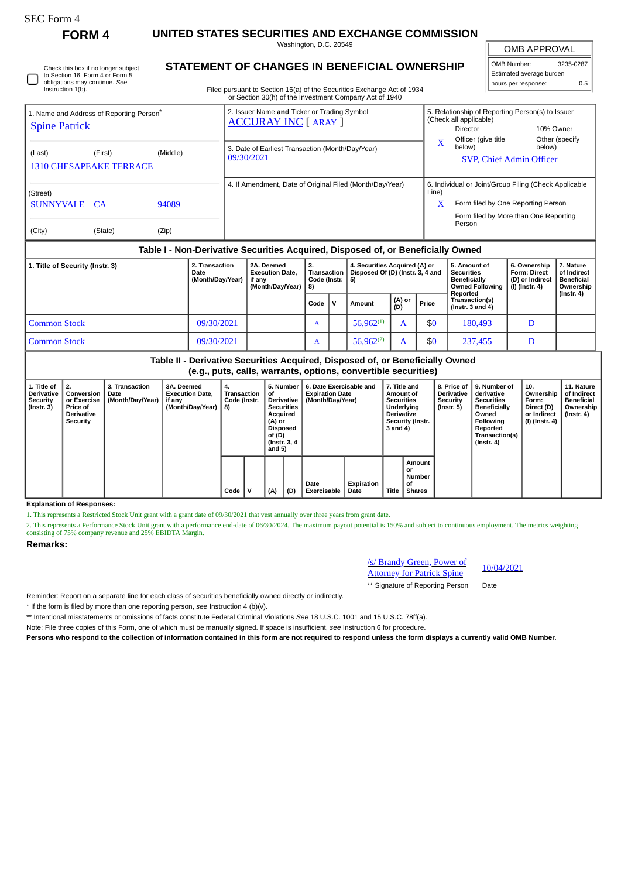**FORM 4 UNITED STATES SECURITIES AND EXCHANGE COMMISSION** Washington, D.C. 20549

OMB APPROVAL

 $\mathbb{I}$ 

| OMB Number:              | 3235-0287 |  |  |  |  |  |  |
|--------------------------|-----------|--|--|--|--|--|--|
| Estimated average burden |           |  |  |  |  |  |  |
| hours per response:      | 0 5       |  |  |  |  |  |  |

|  | Check this box if no longer subject<br>to Section 16. Form 4 or Form 5<br>obligations may continue. See<br>Instruction 1(b). |
|--|------------------------------------------------------------------------------------------------------------------------------|
|--|------------------------------------------------------------------------------------------------------------------------------|

## **STATEMENT OF CHANGES IN BENEFICIAL OWNERSHIP**

Filed pursuant to Section 16(a) of the Securities Exchange Act of 1934 or Section 30(h) of the Investment Company Act of 1940

| 1. Name and Address of Reporting Person <sup>®</sup><br><b>Spine Patrick</b> |                                                                                  |                |  | 2. Issuer Name and Ticker or Trading Symbol<br><b>ACCURAY INC [ ARAY ]</b> |                          |                                                                   |             | 5. Relationship of Reporting Person(s) to Issuer<br>(Check all applicable)<br>10% Owner<br><b>Director</b>                                     |                                           |                          |  |  |  |
|------------------------------------------------------------------------------|----------------------------------------------------------------------------------|----------------|--|----------------------------------------------------------------------------|--------------------------|-------------------------------------------------------------------|-------------|------------------------------------------------------------------------------------------------------------------------------------------------|-------------------------------------------|--------------------------|--|--|--|
| (Last)                                                                       | (First)<br><b>1310 CHESAPEAKE TERRACE</b>                                        | (Middle)       |  | 3. Date of Earliest Transaction (Month/Day/Year)<br>09/30/2021             |                          |                                                                   | $\mathbf x$ | Officer (give title<br>below)                                                                                                                  | below)<br><b>SVP, Chief Admin Officer</b> | Other (specify           |  |  |  |
| (Street)<br>SUNNYVALE<br>(City)                                              | CA <sup>-</sup><br>(State)                                                       | 94089<br>(Zip) |  | 4. If Amendment, Date of Original Filed (Month/Day/Year)                   |                          |                                                                   | Line)<br>X  | 6. Individual or Joint/Group Filing (Check Applicable<br>Form filed by One Reporting Person<br>Form filed by More than One Reporting<br>Person |                                           |                          |  |  |  |
|                                                                              | Table I - Non-Derivative Securities Acquired, Disposed of, or Beneficially Owned |                |  |                                                                            |                          |                                                                   |             |                                                                                                                                                |                                           |                          |  |  |  |
| 2. Transaction<br>1. Title of Security (Instr. 3)<br>Date                    |                                                                                  |                |  | 2A. Deemed<br><b>Execution Date.</b>                                       | 3.<br><b>Transaction</b> | 4. Securities Acquired (A) or<br>Disnosed Of (D) (Instr. 3, 4 and |             | 5. Amount of<br><b>Securities</b>                                                                                                              | 6. Ownership<br><b>Form: Direct</b>       | 7. Nature<br>of Indirect |  |  |  |

| of Security (Instr. 3) | 2. Transaction   | 12A. Deemed            | o.                | 4. Securities Acquired (A) or                  |  | 5. Amount of        | 6. Ownership    | '. Nature         |
|------------------------|------------------|------------------------|-------------------|------------------------------------------------|--|---------------------|-----------------|-------------------|
|                        | Date             | <b>Execution Date.</b> |                   | Transaction   Disposed Of (D) (Instr. 3, 4 and |  | Securities          | Form: Direct    | of Indirect       |
|                        | (Month/Dav/Year) | lif anv                | Code (Instr.   5) |                                                |  | <b>Beneficially</b> | (D) or Indirect | <b>Beneficial</b> |
|                        |                  | (Month/Dav/Year)       | $ 8\rangle$       |                                                |  | ⊩Owned Following    | (I) (Instr. 4)  | Ownershir         |
|                        |                  |                        |                   |                                                |  | Reported            |                 | (Instr. 4)        |

|                     |            | (Month/Day/Year)   8) |      |     |                |               |       | Owned Following   (I) (Instr. 4)<br>Reported | Ownership<br>(Instr. 4) |
|---------------------|------------|-----------------------|------|-----|----------------|---------------|-------|----------------------------------------------|-------------------------|
|                     |            |                       | Code | í V | Amount         | (A) or<br>(D) | Price | Transaction(s)<br>(Instr. 3 and 4)           |                         |
| <b>Common Stock</b> | 09/30/2021 |                       | A    |     | $56.962^{(1)}$ |               | \$0   | 180,493                                      |                         |
| <b>Common Stock</b> | 09/30/2021 |                       | A    |     | $56,962^{(2)}$ |               | \$0   | 237,455                                      |                         |

## **Table II - Derivative Securities Acquired, Disposed of, or Beneficially Owned (e.g., puts, calls, warrants, options, convertible securities)**

| 1. Title of<br>Derivative<br>Security<br>(Instr. 3) | l 2.<br>Conversion<br>or Exercise<br><b>Price of</b><br><b>Derivative</b><br>Security | 3. Transaction<br>Date<br>(Month/Day/Year) | 3A. Deemed<br><b>Execution Date.</b><br>if any<br>(Month/Day/Year) | 4.<br>Transaction<br>Code (Instr.<br>8) |   | 5. Number<br>οf<br>Derivative  <br><b>Securities</b><br>Acquired<br>(A) or<br><b>Disposed</b><br>of (D)<br>(Instr. 3, 4)<br>and $5)$ |     | 6. Date Exercisable and<br><b>Expiration Date</b><br>(Month/Day/Year) | 7. Title and<br>Amount of<br><b>Securities</b><br>Underlying<br><b>Derivative</b><br>Security (Instr.<br>3 and 4) |       | 8. Price of I<br><b>Derivative</b><br>Security<br>$($ Instr. 5 $)$ | 9. Number of<br>derivative<br><b>Securities</b><br><b>Beneficially</b><br>Owned<br>Following<br>Reported<br>Transaction(s)<br>$($ Instr. 4 $)$ | 10.<br>Ownership<br>Form:<br>Direct (D)<br>or Indirect<br>  (I) (Instr. 4) | 11. Nature<br>of Indirect<br>Beneficial<br>Ownership<br>(Instr. 4) |  |
|-----------------------------------------------------|---------------------------------------------------------------------------------------|--------------------------------------------|--------------------------------------------------------------------|-----------------------------------------|---|--------------------------------------------------------------------------------------------------------------------------------------|-----|-----------------------------------------------------------------------|-------------------------------------------------------------------------------------------------------------------|-------|--------------------------------------------------------------------|------------------------------------------------------------------------------------------------------------------------------------------------|----------------------------------------------------------------------------|--------------------------------------------------------------------|--|
|                                                     |                                                                                       |                                            |                                                                    | Code                                    | v | (A)                                                                                                                                  | (D) | Date<br>Exercisable                                                   | Expiration<br>Date                                                                                                | Title | Amount<br>or<br><b>Number</b><br>οf<br><b>Shares</b>               |                                                                                                                                                |                                                                            |                                                                    |  |

**Explanation of Responses:**

1. This represents a Restricted Stock Unit grant with a grant date of 09/30/2021 that vest annually over three years from grant date.

2. This represents a Performance Stock Unit grant with a performance end-date of 06/30/2024. The maximum payout potential is 150% and subject to continuous employment. The metrics weighting<br>consisting of 75% company revenu

## **Remarks:**

/s/ Brandy Green, Power of <u>Attorney Green, Power of</u> 10/04/2021<br>Attorney for Patrick Spine

\*\* Signature of Reporting Person Date

Reminder: Report on a separate line for each class of securities beneficially owned directly or indirectly.

\* If the form is filed by more than one reporting person, *see* Instruction 4 (b)(v).

\*\* Intentional misstatements or omissions of facts constitute Federal Criminal Violations *See* 18 U.S.C. 1001 and 15 U.S.C. 78ff(a).

Note: File three copies of this Form, one of which must be manually signed. If space is insufficient, *see* Instruction 6 for procedure.

**Persons who respond to the collection of information contained in this form are not required to respond unless the form displays a currently valid OMB Number.**